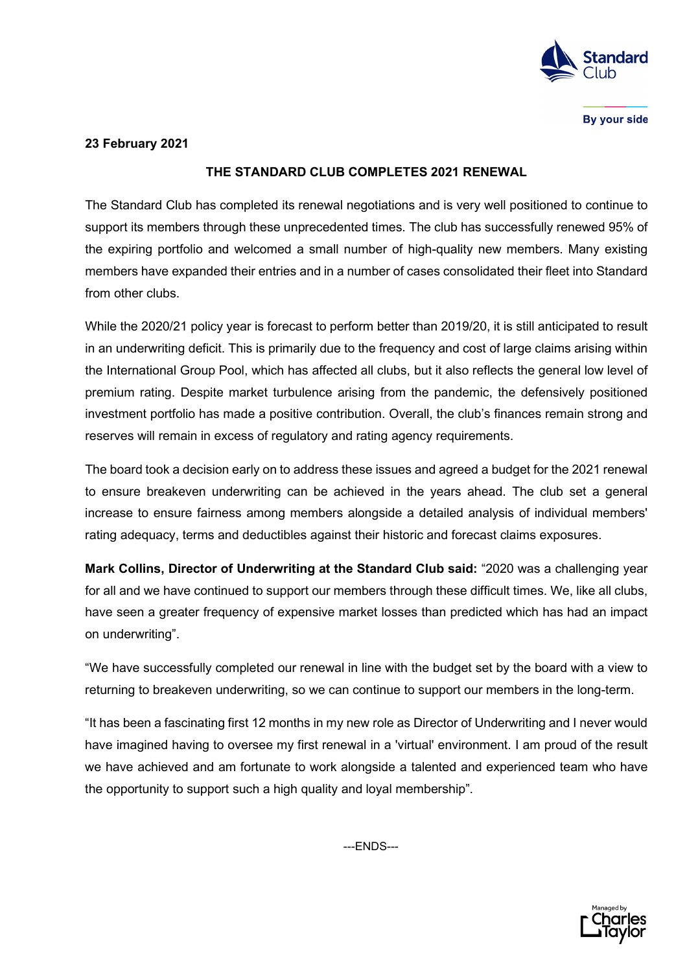

By your side

## **23 February 2021**

## **THE STANDARD CLUB COMPLETES 2021 RENEWAL**

The Standard Club has completed its renewal negotiations and is very well positioned to continue to support its members through these unprecedented times. The club has successfully renewed 95% of the expiring portfolio and welcomed a small number of high-quality new members. Many existing members have expanded their entries and in a number of cases consolidated their fleet into Standard from other clubs.

While the 2020/21 policy year is forecast to perform better than 2019/20, it is still anticipated to result in an underwriting deficit. This is primarily due to the frequency and cost of large claims arising within the International Group Pool, which has affected all clubs, but it also reflects the general low level of premium rating. Despite market turbulence arising from the pandemic, the defensively positioned investment portfolio has made a positive contribution. Overall, the club's finances remain strong and reserves will remain in excess of regulatory and rating agency requirements.

The board took a decision early on to address these issues and agreed a budget for the 2021 renewal to ensure breakeven underwriting can be achieved in the years ahead. The club set a general increase to ensure fairness among members alongside a detailed analysis of individual members' rating adequacy, terms and deductibles against their historic and forecast claims exposures.

**Mark Collins, Director of Underwriting at the Standard Club said:** "2020 was a challenging year for all and we have continued to support our members through these difficult times. We, like all clubs, have seen a greater frequency of expensive market losses than predicted which has had an impact on underwriting".

"We have successfully completed our renewal in line with the budget set by the board with a view to returning to breakeven underwriting, so we can continue to support our members in the long-term.

"It has been a fascinating first 12 months in my new role as Director of Underwriting and I never would have imagined having to oversee my first renewal in a 'virtual' environment. I am proud of the result we have achieved and am fortunate to work alongside a talented and experienced team who have the opportunity to support such a high quality and loyal membership".

---ENDS---